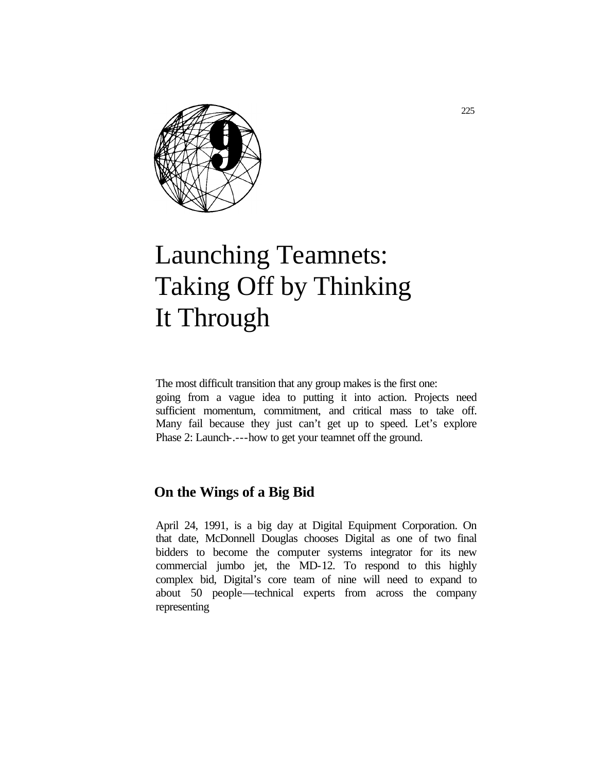

# Launching Teamnets: Taking Off by Thinking It Through

The most difficult transition that any group makes is the first one: going from a vague idea to putting it into action. Projects need sufficient momentum, commitment, and critical mass to take off. Many fail because they just can't get up to speed. Let's explore Phase 2: Launch-.---how to get your teamnet off the ground.

# **On the Wings of a Big Bid**

April 24, 1991, is a big day at Digital Equipment Corporation. On that date, McDonnell Douglas chooses Digital as one of two final bidders to become the computer systems integrator for its new commercial jumbo jet, the MD-12. To respond to this highly complex bid, Digital's core team of nine will need to expand to about 50 people—technical experts from across the company representing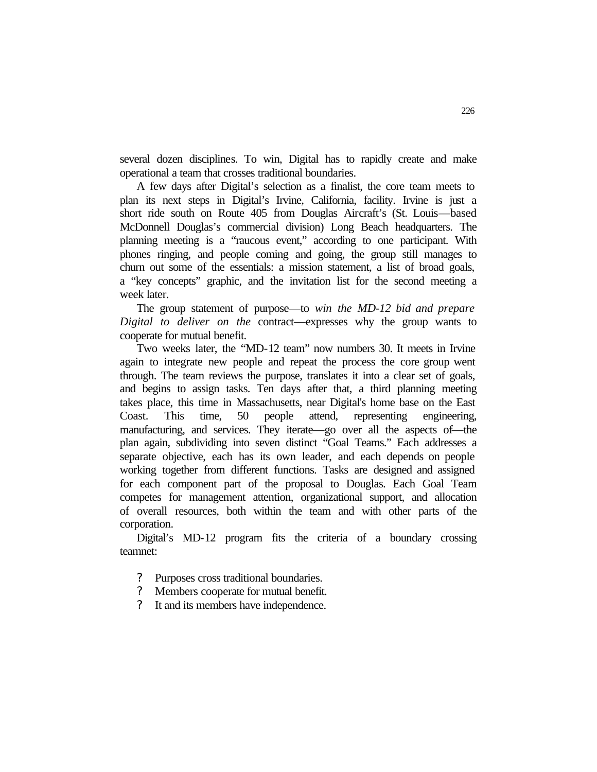several dozen disciplines. To win, Digital has to rapidly create and make operational a team that crosses traditional boundaries.

A few days after Digital's selection as a finalist, the core team meets to plan its next steps in Digital's Irvine, California, facility. Irvine is just a short ride south on Route 405 from Douglas Aircraft's (St. Louis—based McDonnell Douglas's commercial division) Long Beach headquarters. The planning meeting is a "raucous event," according to one participant. With phones ringing, and people coming and going, the group still manages to churn out some of the essentials: a mission statement, a list of broad goals, a "key concepts" graphic, and the invitation list for the second meeting a week later.

The group statement of purpose—to *win the MD-12 bid and prepare Digital to deliver on the* contract—expresses why the group wants to cooperate for mutual benefit.

Two weeks later, the "MD-12 team" now numbers 30. It meets in Irvine again to integrate new people and repeat the process the core group went through. The team reviews the purpose, translates it into a clear set of goals, and begins to assign tasks. Ten days after that, a third planning meeting takes place, this time in Massachusetts, near Digital's home base on the East Coast. This time, 50 people attend, representing engineering, manufacturing, and services. They iterate—go over all the aspects of—the plan again, subdividing into seven distinct "Goal Teams." Each addresses a separate objective, each has its own leader, and each depends on people working together from different functions. Tasks are designed and assigned for each component part of the proposal to Douglas. Each Goal Team competes for management attention, organizational support, and allocation of overall resources, both within the team and with other parts of the corporation.

Digital's MD-12 program fits the criteria of a boundary crossing teamnet:

- ? Purposes cross traditional boundaries.
- ? Members cooperate for mutual benefit.
- ? It and its members have independence.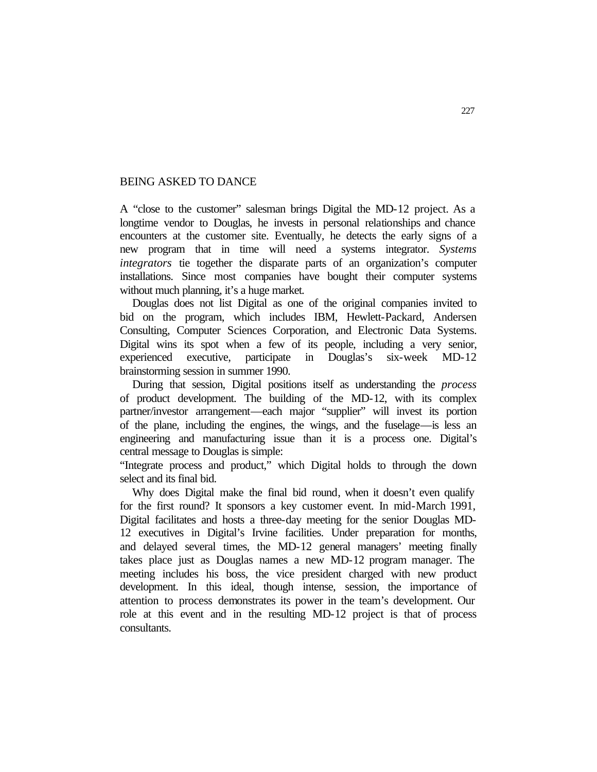# BEING ASKED TO DANCE

A "close to the customer" salesman brings Digital the MD-12 project. As a longtime vendor to Douglas, he invests in personal relationships and chance encounters at the customer site. Eventually, he detects the early signs of a new program that in time will need a systems integrator. *Systems integrators* tie together the disparate parts of an organization's computer installations. Since most companies have bought their computer systems without much planning, it's a huge market.

Douglas does not list Digital as one of the original companies invited to bid on the program, which includes IBM, Hewlett-Packard, Andersen Consulting, Computer Sciences Corporation, and Electronic Data Systems. Digital wins its spot when a few of its people, including a very senior, experienced executive, participate in Douglas's six-week MD-12 brainstorming session in summer 1990.

During that session, Digital positions itself as understanding the *process*  of product development. The building of the MD-12, with its complex partner/investor arrangement—each major "supplier" will invest its portion of the plane, including the engines, the wings, and the fuselage—is less an engineering and manufacturing issue than it is a process one. Digital's central message to Douglas is simple:

"Integrate process and product," which Digital holds to through the down select and its final bid.

Why does Digital make the final bid round, when it doesn't even qualify for the first round? It sponsors a key customer event. In mid-March 1991, Digital facilitates and hosts a three-day meeting for the senior Douglas MD-12 executives in Digital's Irvine facilities. Under preparation for months, and delayed several times, the MD-12 general managers' meeting finally takes place just as Douglas names a new MD-12 program manager. The meeting includes his boss, the vice president charged with new product development. In this ideal, though intense, session, the importance of attention to process demonstrates its power in the team's development. Our role at this event and in the resulting MD-12 project is that of process consultants.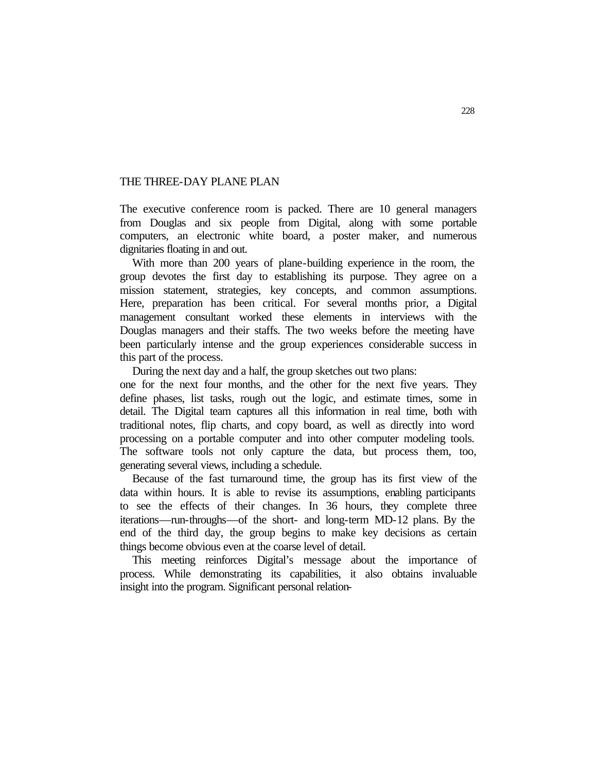# THE THREE-DAY PLANE PLAN

The executive conference room is packed. There are 10 general managers from Douglas and six people from Digital, along with some portable computers, an electronic white board, a poster maker, and numerous dignitaries floating in and out.

With more than 200 years of plane-building experience in the room, the group devotes the first day to establishing its purpose. They agree on a mission statement, strategies, key concepts, and common assumptions. Here, preparation has been critical. For several months prior, a Digital management consultant worked these elements in interviews with the Douglas managers and their staffs. The two weeks before the meeting have been particularly intense and the group experiences considerable success in this part of the process.

During the next day and a half, the group sketches out two plans:

one for the next four months, and the other for the next five years. They define phases, list tasks, rough out the logic, and estimate times, some in detail. The Digital team captures all this information in real time, both with traditional notes, flip charts, and copy board, as well as directly into word processing on a portable computer and into other computer modeling tools. The software tools not only capture the data, but process them, too, generating several views, including a schedule.

Because of the fast turnaround time, the group has its first view of the data within hours. It is able to revise its assumptions, enabling participants to see the effects of their changes. In 36 hours, they complete three iterations—run-throughs—of the short- and long-term MD-12 plans. By the end of the third day, the group begins to make key decisions as certain things become obvious even at the coarse level of detail.

This meeting reinforces Digital's message about the importance of process. While demonstrating its capabilities, it also obtains invaluable insight into the program. Significant personal relation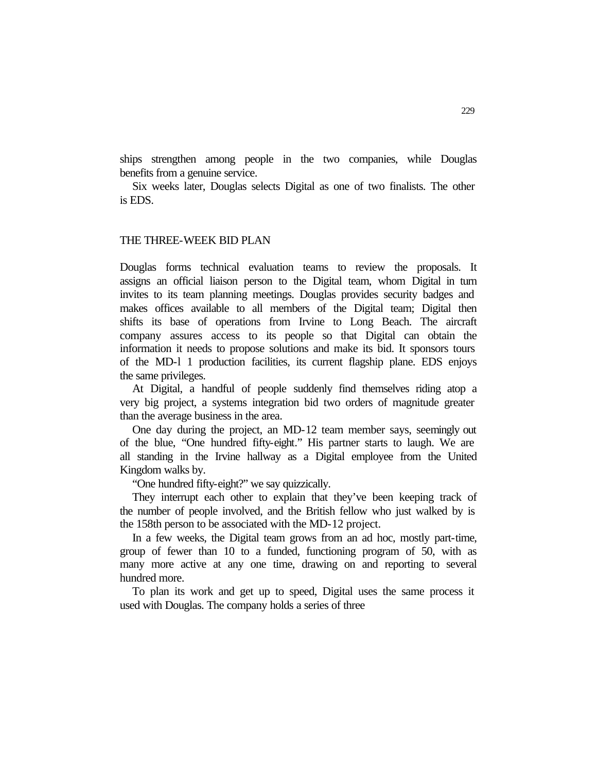ships strengthen among people in the two companies, while Douglas benefits from a genuine service.

Six weeks later, Douglas selects Digital as one of two finalists. The other is EDS.

# THE THREE-WEEK BID PLAN

Douglas forms technical evaluation teams to review the proposals. It assigns an official liaison person to the Digital team, whom Digital in turn invites to its team planning meetings. Douglas provides security badges and makes offices available to all members of the Digital team; Digital then shifts its base of operations from Irvine to Long Beach. The aircraft company assures access to its people so that Digital can obtain the information it needs to propose solutions and make its bid. It sponsors tours of the MD-l 1 production facilities, its current flagship plane. EDS enjoys the same privileges.

At Digital, a handful of people suddenly find themselves riding atop a very big project, a systems integration bid two orders of magnitude greater than the average business in the area.

One day during the project, an MD-12 team member says, seemingly out of the blue, "One hundred fifty-eight." His partner starts to laugh. We are all standing in the Irvine hallway as a Digital employee from the United Kingdom walks by.

"One hundred fifty-eight?" we say quizzically.

They interrupt each other to explain that they've been keeping track of the number of people involved, and the British fellow who just walked by is the 158th person to be associated with the MD-12 project.

In a few weeks, the Digital team grows from an ad hoc, mostly part-time, group of fewer than 10 to a funded, functioning program of 50, with as many more active at any one time, drawing on and reporting to several hundred more.

To plan its work and get up to speed, Digital uses the same process it used with Douglas. The company holds a series of three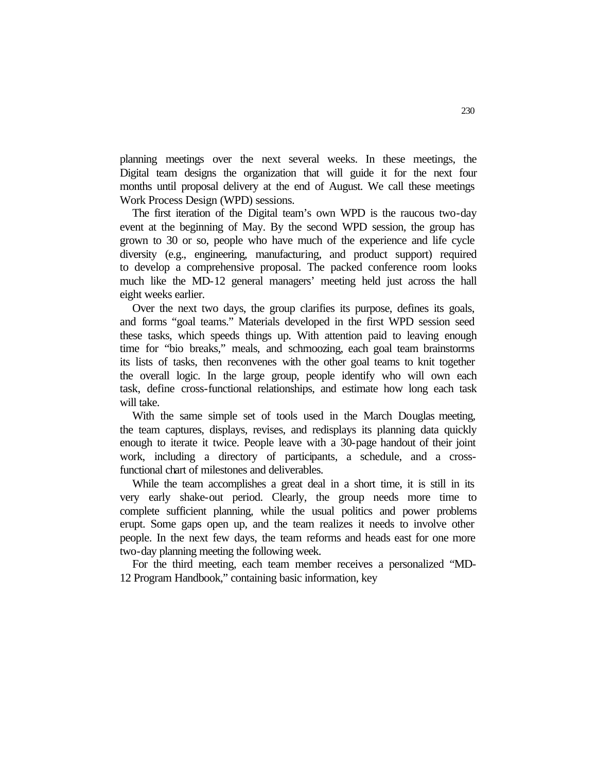planning meetings over the next several weeks. In these meetings, the Digital team designs the organization that will guide it for the next four months until proposal delivery at the end of August. We call these meetings Work Process Design (WPD) sessions.

The first iteration of the Digital team's own WPD is the raucous two-day event at the beginning of May. By the second WPD session, the group has grown to 30 or so, people who have much of the experience and life cycle diversity (e.g., engineering, manufacturing, and product support) required to develop a comprehensive proposal. The packed conference room looks much like the MD-12 general managers' meeting held just across the hall eight weeks earlier.

Over the next two days, the group clarifies its purpose, defines its goals, and forms "goal teams." Materials developed in the first WPD session seed these tasks, which speeds things up. With attention paid to leaving enough time for "bio breaks," meals, and schmoozing, each goal team brainstorms its lists of tasks, then reconvenes with the other goal teams to knit together the overall logic. In the large group, people identify who will own each task, define cross-functional relationships, and estimate how long each task will take.

With the same simple set of tools used in the March Douglas meeting, the team captures, displays, revises, and redisplays its planning data quickly enough to iterate it twice. People leave with a 30-page handout of their joint work, including a directory of participants, a schedule, and a crossfunctional chart of milestones and deliverables.

While the team accomplishes a great deal in a short time, it is still in its very early shake-out period. Clearly, the group needs more time to complete sufficient planning, while the usual politics and power problems erupt. Some gaps open up, and the team realizes it needs to involve other people. In the next few days, the team reforms and heads east for one more two-day planning meeting the following week.

For the third meeting, each team member receives a personalized "MD-12 Program Handbook," containing basic information, key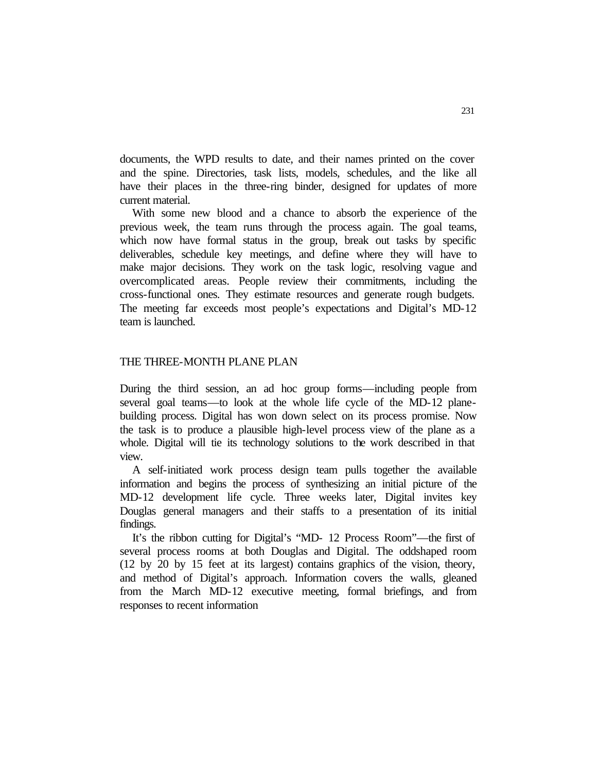documents, the WPD results to date, and their names printed on the cover and the spine. Directories, task lists, models, schedules, and the like all have their places in the three-ring binder, designed for updates of more current material.

With some new blood and a chance to absorb the experience of the previous week, the team runs through the process again. The goal teams, which now have formal status in the group, break out tasks by specific deliverables, schedule key meetings, and define where they will have to make major decisions. They work on the task logic, resolving vague and overcomplicated areas. People review their commitments, including the cross-functional ones. They estimate resources and generate rough budgets. The meeting far exceeds most people's expectations and Digital's MD-12 team is launched.

#### THE THREE-MONTH PLANE PLAN

During the third session, an ad hoc group forms—including people from several goal teams—to look at the whole life cycle of the MD-12 planebuilding process. Digital has won down select on its process promise. Now the task is to produce a plausible high-level process view of the plane as a whole. Digital will tie its technology solutions to the work described in that view.

A self-initiated work process design team pulls together the available information and begins the process of synthesizing an initial picture of the MD-12 development life cycle. Three weeks later, Digital invites key Douglas general managers and their staffs to a presentation of its initial findings.

It's the ribbon cutting for Digital's "MD- 12 Process Room"—the first of several process rooms at both Douglas and Digital. The oddshaped room (12 by 20 by 15 feet at its largest) contains graphics of the vision, theory, and method of Digital's approach. Information covers the walls, gleaned from the March MD-12 executive meeting, formal briefings, and from responses to recent information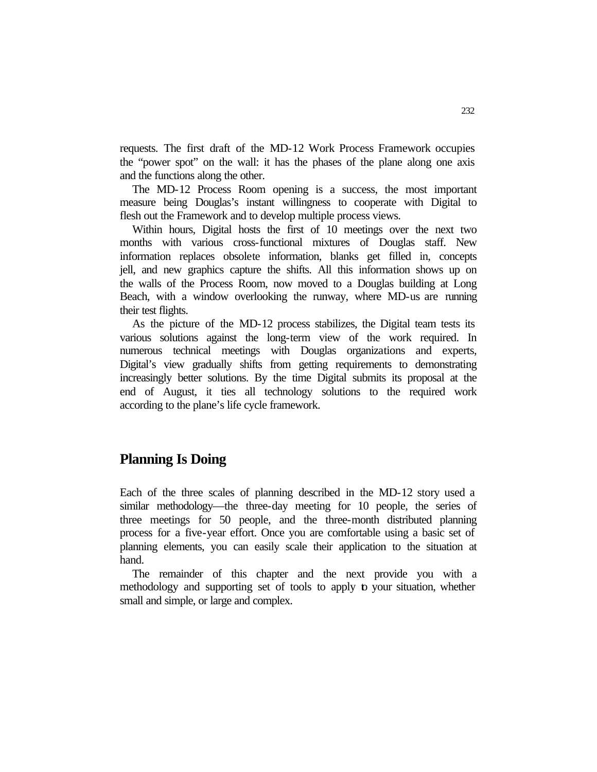requests. The first draft of the MD-12 Work Process Framework occupies the "power spot" on the wall: it has the phases of the plane along one axis and the functions along the other.

The MD-12 Process Room opening is a success, the most important measure being Douglas's instant willingness to cooperate with Digital to flesh out the Framework and to develop multiple process views.

Within hours, Digital hosts the first of 10 meetings over the next two months with various cross-functional mixtures of Douglas staff. New information replaces obsolete information, blanks get filled in, concepts jell, and new graphics capture the shifts. All this information shows up on the walls of the Process Room, now moved to a Douglas building at Long Beach, with a window overlooking the runway, where MD-us are running their test flights.

As the picture of the MD-12 process stabilizes, the Digital team tests its various solutions against the long-term view of the work required. In numerous technical meetings with Douglas organizations and experts, Digital's view gradually shifts from getting requirements to demonstrating increasingly better solutions. By the time Digital submits its proposal at the end of August, it ties all technology solutions to the required work according to the plane's life cycle framework.

# **Planning Is Doing**

Each of the three scales of planning described in the MD-12 story used a similar methodology—the three-day meeting for 10 people, the series of three meetings for 50 people, and the three-month distributed planning process for a five-year effort. Once you are comfortable using a basic set of planning elements, you can easily scale their application to the situation at hand.

The remainder of this chapter and the next provide you with a methodology and supporting set of tools to apply to your situation, whether small and simple, or large and complex.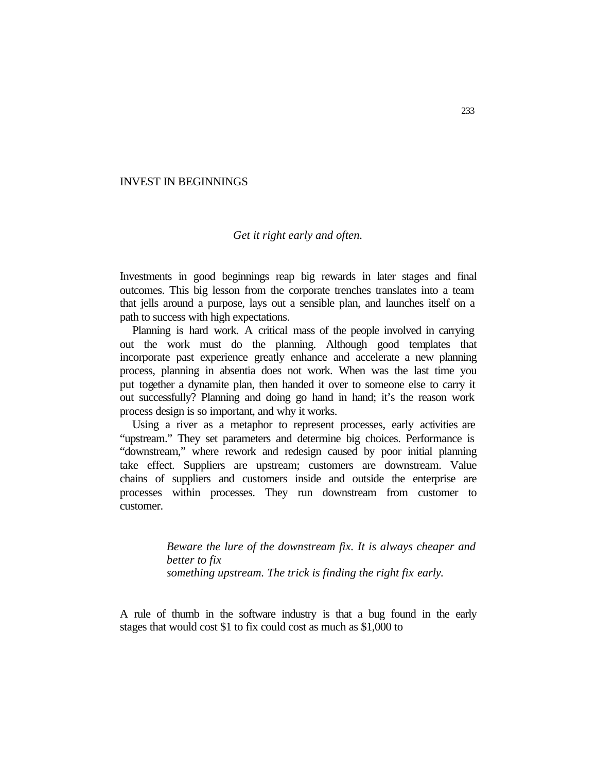## INVEST IN BEGINNINGS

## *Get it right early and often.*

Investments in good beginnings reap big rewards in later stages and final outcomes. This big lesson from the corporate trenches translates into a team that jells around a purpose, lays out a sensible plan, and launches itself on a path to success with high expectations.

Planning is hard work. A critical mass of the people involved in carrying out the work must do the planning. Although good templates that incorporate past experience greatly enhance and accelerate a new planning process, planning in absentia does not work. When was the last time you put together a dynamite plan, then handed it over to someone else to carry it out successfully? Planning and doing go hand in hand; it's the reason work process design is so important, and why it works.

Using a river as a metaphor to represent processes, early activities are "upstream." They set parameters and determine big choices. Performance is "downstream," where rework and redesign caused by poor initial planning take effect. Suppliers are upstream; customers are downstream. Value chains of suppliers and customers inside and outside the enterprise are processes within processes. They run downstream from customer to customer.

> *Beware the lure of the downstream fix. It is always cheaper and better to fix something upstream. The trick is finding the right fix early.*

A rule of thumb in the software industry is that a bug found in the early stages that would cost \$1 to fix could cost as much as \$1,000 to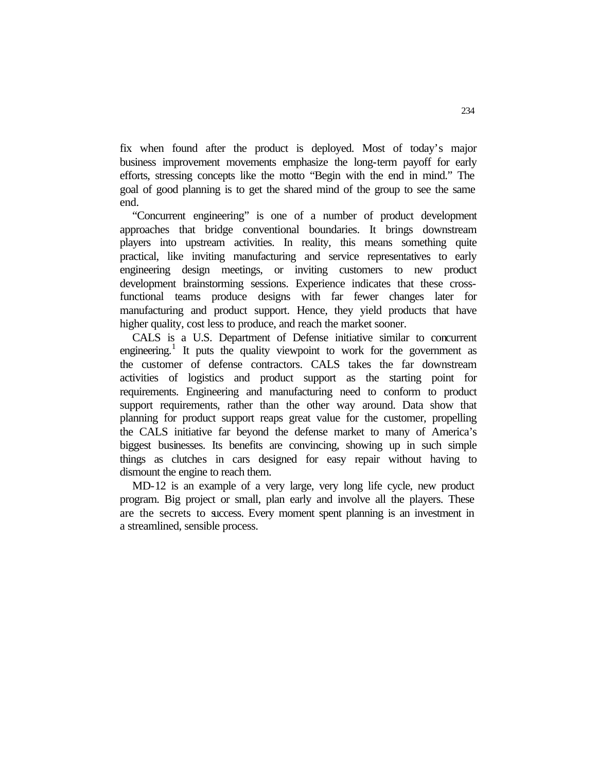fix when found after the product is deployed. Most of today's major business improvement movements emphasize the long-term payoff for early efforts, stressing concepts like the motto "Begin with the end in mind." The goal of good planning is to get the shared mind of the group to see the same end.

"Concurrent engineering" is one of a number of product development approaches that bridge conventional boundaries. It brings downstream players into upstream activities. In reality, this means something quite practical, like inviting manufacturing and service representatives to early engineering design meetings, or inviting customers to new product development brainstorming sessions. Experience indicates that these crossfunctional teams produce designs with far fewer changes later for manufacturing and product support. Hence, they yield products that have higher quality, cost less to produce, and reach the market sooner.

CALS is a U.S. Department of Defense initiative similar to concurrent engineering.<sup>1</sup> It puts the quality viewpoint to work for the government as the customer of defense contractors. CALS takes the far downstream activities of logistics and product support as the starting point for requirements. Engineering and manufacturing need to conform to product support requirements, rather than the other way around. Data show that planning for product support reaps great value for the customer, propelling the CALS initiative far beyond the defense market to many of America's biggest businesses. Its benefits are convincing, showing up in such simple things as clutches in cars designed for easy repair without having to dismount the engine to reach them.

MD-12 is an example of a very large, very long life cycle, new product program. Big project or small, plan early and involve all the players. These are the secrets to success. Every moment spent planning is an investment in a streamlined, sensible process.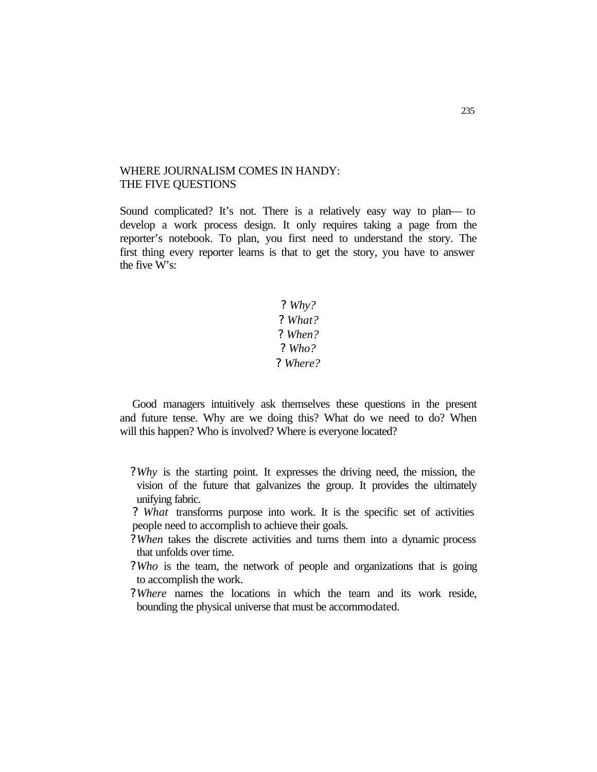## WHERE JOURNALISM COMES IN HANDY: THE FIVE QUESTIONS

Sound complicated? It's not. There is a relatively easy way to plan— to develop a work process design. It only requires taking a page from the reporter's notebook. To plan, you first need to understand the story. The first thing every reporter learns is that to get the story, you have to answer the five W's:

> *? Why? ? What? ? When? ? Who? ? Where?*

Good managers intuitively ask themselves these questions in the present and future tense. Why are we doing this? What do we need to do? When will this happen? Who is involved? Where is everyone located?

- *?Why* is the starting point. It expresses the driving need, the mission, the vision of the future that galvanizes the group. It provides the ultimately unifying fabric.
- *? What* transforms purpose into work. It is the specific set of activities people need to accomplish to achieve their goals.
- *?When* takes the discrete activities and turns them into a dynamic process that unfolds over time.
- *?Who* is the team, the network of people and organizations that is going to accomplish the work.
- *?Where* names the locations in which the team and its work reside, bounding the physical universe that must be accommodated.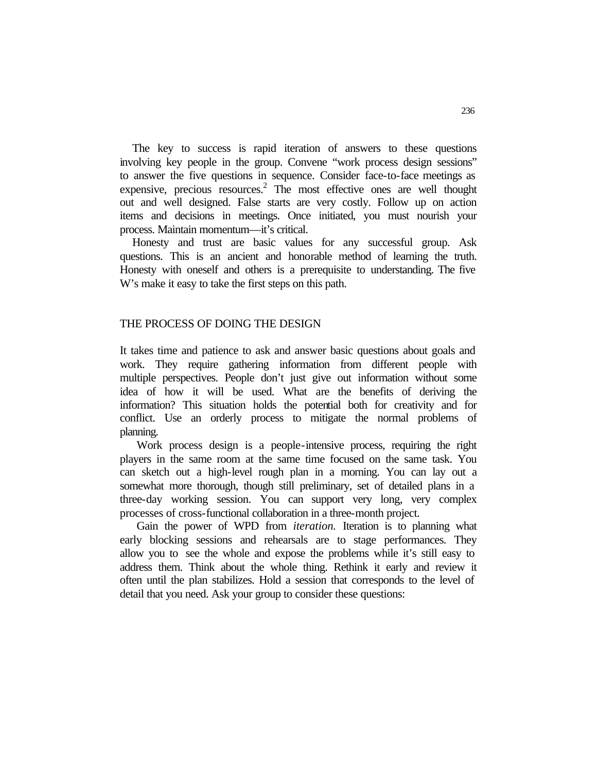The key to success is rapid iteration of answers to these questions involving key people in the group. Convene "work process design sessions" to answer the five questions in sequence. Consider face-to-face meetings as expensive, precious resources.<sup>2</sup> The most effective ones are well thought out and well designed. False starts are very costly. Follow up on action items and decisions in meetings. Once initiated, you must nourish your process. Maintain momentum—it's critical.

Honesty and trust are basic values for any successful group. Ask questions. This is an ancient and honorable method of learning the truth. Honesty with oneself and others is a prerequisite to understanding. The five W's make it easy to take the first steps on this path.

#### THE PROCESS OF DOING THE DESIGN

It takes time and patience to ask and answer basic questions about goals and work. They require gathering information from different people with multiple perspectives. People don't just give out information without some idea of how it will be used. What are the benefits of deriving the information? This situation holds the potential both for creativity and for conflict. Use an orderly process to mitigate the normal problems of planning.

Work process design is a people-intensive process, requiring the right players in the same room at the same time focused on the same task. You can sketch out a high-level rough plan in a morning. You can lay out a somewhat more thorough, though still preliminary, set of detailed plans in a three-day working session. You can support very long, very complex processes of cross-functional collaboration in a three-month project.

Gain the power of WPD from *iteration.* Iteration is to planning what early blocking sessions and rehearsals are to stage performances. They allow you to see the whole and expose the problems while it's still easy to address them. Think about the whole thing. Rethink it early and review it often until the plan stabilizes. Hold a session that corresponds to the level of detail that you need. Ask your group to consider these questions: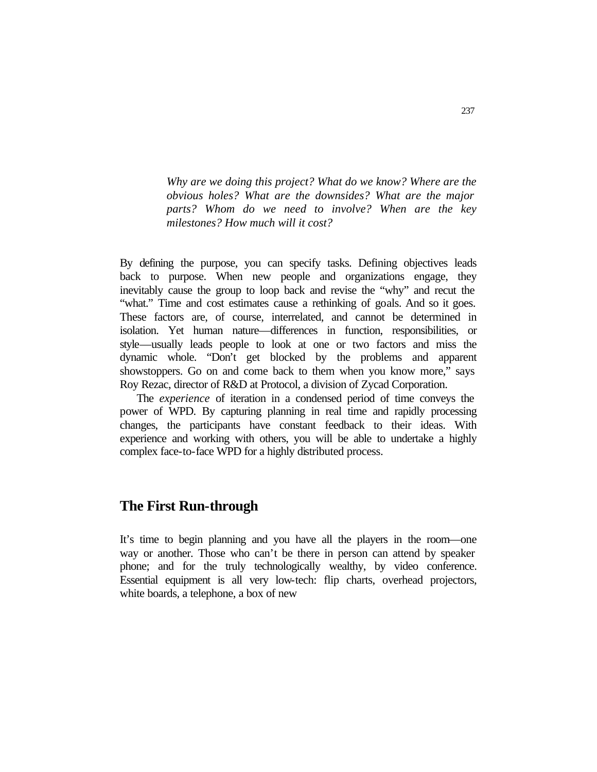*Why are we doing this project? What do we know? Where are the obvious holes? What are the downsides? What are the major parts? Whom do we need to involve? When are the key milestones? How much will it cost?*

By defining the purpose, you can specify tasks. Defining objectives leads back to purpose. When new people and organizations engage, they inevitably cause the group to loop back and revise the "why" and recut the "what." Time and cost estimates cause a rethinking of goals. And so it goes. These factors are, of course, interrelated, and cannot be determined in isolation. Yet human nature—differences in function, responsibilities, or style—usually leads people to look at one or two factors and miss the dynamic whole. "Don't get blocked by the problems and apparent showstoppers. Go on and come back to them when you know more," says Roy Rezac, director of R&D at Protocol, a division of Zycad Corporation.

The *experience* of iteration in a condensed period of time conveys the power of WPD. By capturing planning in real time and rapidly processing changes, the participants have constant feedback to their ideas. With experience and working with others, you will be able to undertake a highly complex face-to-face WPD for a highly distributed process.

# **The First Run-through**

It's time to begin planning and you have all the players in the room—one way or another. Those who can't be there in person can attend by speaker phone; and for the truly technologically wealthy, by video conference. Essential equipment is all very low-tech: flip charts, overhead projectors, white boards, a telephone, a box of new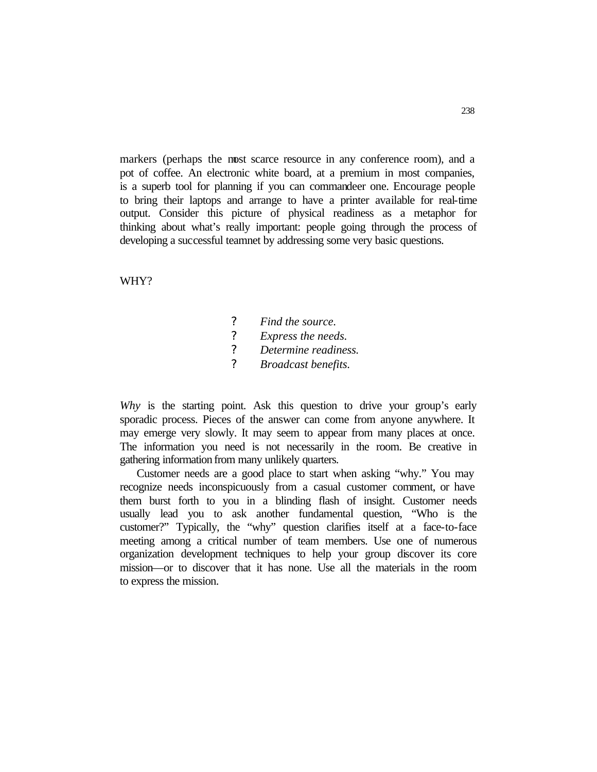markers (perhaps the most scarce resource in any conference room), and a pot of coffee. An electronic white board, at a premium in most companies, is a superb tool for planning if you can commandeer one. Encourage people to bring their laptops and arrange to have a printer available for real-time output. Consider this picture of physical readiness as a metaphor for thinking about what's really important: people going through the process of developing a successful teamnet by addressing some very basic questions.

#### WHY?

- *? Find the source.*
- *? Express the needs.*
- *? Determine readiness.*
- *? Broadcast benefits.*

*Why* is the starting point. Ask this question to drive your group's early sporadic process. Pieces of the answer can come from anyone anywhere. It may emerge very slowly. It may seem to appear from many places at once. The information you need is not necessarily in the room. Be creative in gathering information from many unlikely quarters.

Customer needs are a good place to start when asking "why." You may recognize needs inconspicuously from a casual customer comment, or have them burst forth to you in a blinding flash of insight. Customer needs usually lead you to ask another fundamental question, "Who is the customer?" Typically, the "why" question clarifies itself at a face-to-face meeting among a critical number of team members. Use one of numerous organization development techniques to help your group discover its core mission—or to discover that it has none. Use all the materials in the room to express the mission.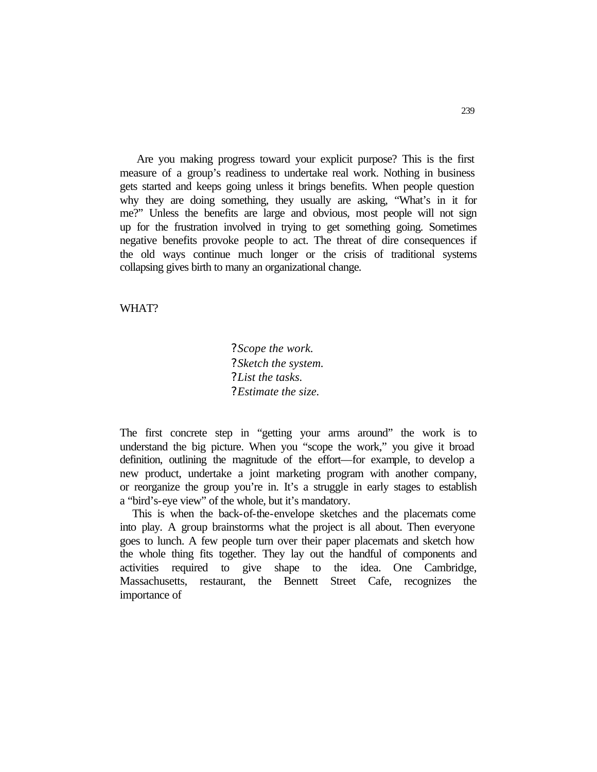Are you making progress toward your explicit purpose? This is the first measure of a group's readiness to undertake real work. Nothing in business gets started and keeps going unless it brings benefits. When people question why they are doing something, they usually are asking, "What's in it for me?" Unless the benefits are large and obvious, most people will not sign up for the frustration involved in trying to get something going. Sometimes negative benefits provoke people to act. The threat of dire consequences if the old ways continue much longer or the crisis of traditional systems collapsing gives birth to many an organizational change.

#### WHAT?

*?Scope the work. ?Sketch the system. ?List the tasks. ?Estimate the size.*

The first concrete step in "getting your arms around" the work is to understand the big picture. When you "scope the work," you give it broad definition, outlining the magnitude of the effort—for example, to develop a new product, undertake a joint marketing program with another company, or reorganize the group you're in. It's a struggle in early stages to establish a "bird's-eye view" of the whole, but it's mandatory.

This is when the back-of-the-envelope sketches and the placemats come into play. A group brainstorms what the project is all about. Then everyone goes to lunch. A few people turn over their paper placemats and sketch how the whole thing fits together. They lay out the handful of components and activities required to give shape to the idea. One Cambridge, Massachusetts, restaurant, the Bennett Street Cafe, recognizes the importance of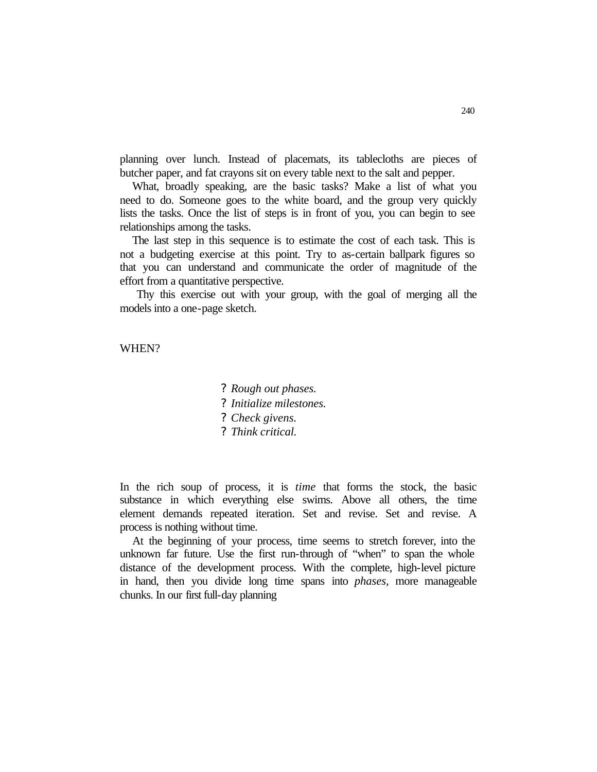planning over lunch. Instead of placemats, its tablecloths are pieces of butcher paper, and fat crayons sit on every table next to the salt and pepper.

What, broadly speaking, are the basic tasks? Make a list of what you need to do. Someone goes to the white board, and the group very quickly lists the tasks. Once the list of steps is in front of you, you can begin to see relationships among the tasks.

The last step in this sequence is to estimate the cost of each task. This is not a budgeting exercise at this point. Try to as-certain ballpark figures so that you can understand and communicate the order of magnitude of the effort from a quantitative perspective.

Thy this exercise out with your group, with the goal of merging all the models into a one-page sketch.

WHEN?

*? Rough out phases. ? Initialize milestones. ? Check givens. ? Think critical.*

In the rich soup of process, it is *time* that forms the stock, the basic substance in which everything else swims. Above all others, the time element demands repeated iteration. Set and revise. Set and revise. A process is nothing without time.

At the beginning of your process, time seems to stretch forever, into the unknown far future. Use the first run-through of "when" to span the whole distance of the development process. With the complete, high-level picture in hand, then you divide long time spans into *phases,* more manageable chunks. In our first full-day planning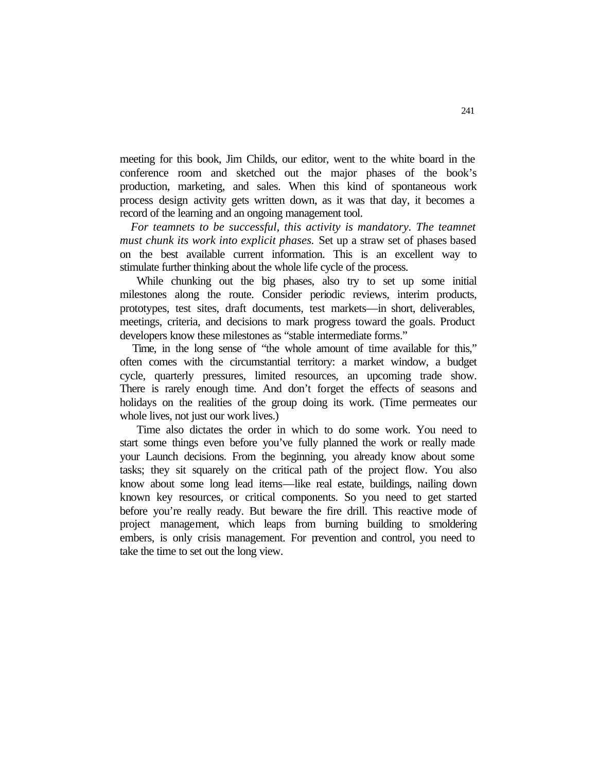meeting for this book, Jim Childs, our editor, went to the white board in the conference room and sketched out the major phases of the book's production, marketing, and sales. When this kind of spontaneous work process design activity gets written down, as it was that day, it becomes a record of the learning and an ongoing management tool.

For teamnets to be successful, this activity is mandatory. The teamnet *must chunk its work into explicit phases.* Set up a straw set of phases based on the best available current information. This is an excellent way to stimulate further thinking about the whole life cycle of the process.

While chunking out the big phases, also try to set up some initial milestones along the route. Consider periodic reviews, interim products, prototypes, test sites, draft documents, test markets—in short, deliverables, meetings, criteria, and decisions to mark progress toward the goals. Product developers know these milestones as "stable intermediate forms."

Time, in the long sense of "the whole amount of time available for this," often comes with the circumstantial territory: a market window, a budget cycle, quarterly pressures, limited resources, an upcoming trade show. There is rarely enough time. And don't forget the effects of seasons and holidays on the realities of the group doing its work. (Time permeates our whole lives, not just our work lives.)

Time also dictates the order in which to do some work. You need to start some things even before you've fully planned the work or really made your Launch decisions. From the beginning, you already know about some tasks; they sit squarely on the critical path of the project flow. You also know about some long lead items—like real estate, buildings, nailing down known key resources, or critical components. So you need to get started before you're really ready. But beware the fire drill. This reactive mode of project management, which leaps from burning building to smoldering embers, is only crisis management. For prevention and control, you need to take the time to set out the long view.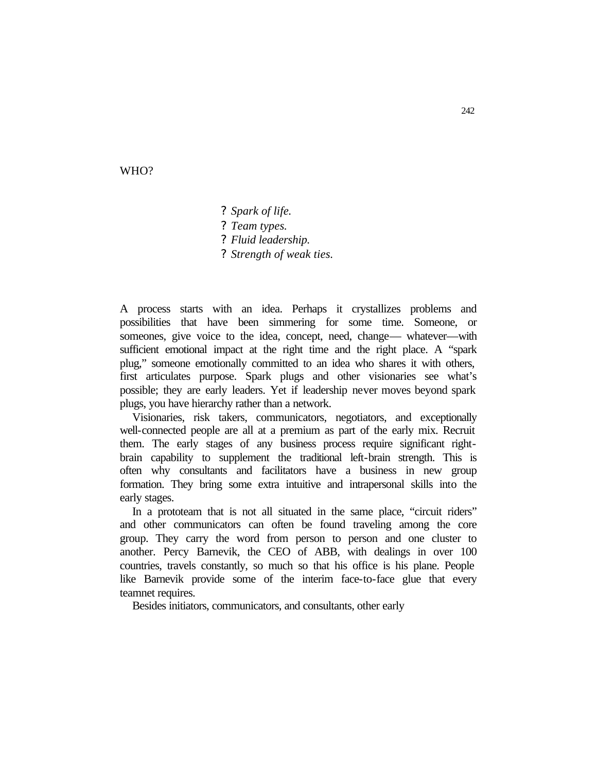WHO?

*? Spark of life. ? Team types. ? Fluid leadership. ? Strength of weak ties.*

A process starts with an idea. Perhaps it crystallizes problems and possibilities that have been simmering for some time. Someone, or someones, give voice to the idea, concept, need, change— whatever—with sufficient emotional impact at the right time and the right place. A "spark" plug," someone emotionally committed to an idea who shares it with others, first articulates purpose. Spark plugs and other visionaries see what's possible; they are early leaders. Yet if leadership never moves beyond spark plugs, you have hierarchy rather than a network.

Visionaries, risk takers, communicators, negotiators, and exceptionally well-connected people are all at a premium as part of the early mix. Recruit them. The early stages of any business process require significant rightbrain capability to supplement the traditional left-brain strength. This is often why consultants and facilitators have a business in new group formation. They bring some extra intuitive and intrapersonal skills into the early stages.

In a prototeam that is not all situated in the same place, "circuit riders" and other communicators can often be found traveling among the core group. They carry the word from person to person and one cluster to another. Percy Barnevik, the CEO of ABB, with dealings in over 100 countries, travels constantly, so much so that his office is his plane. People like Barnevik provide some of the interim face-to-face glue that every teamnet requires.

Besides initiators, communicators, and consultants, other early

242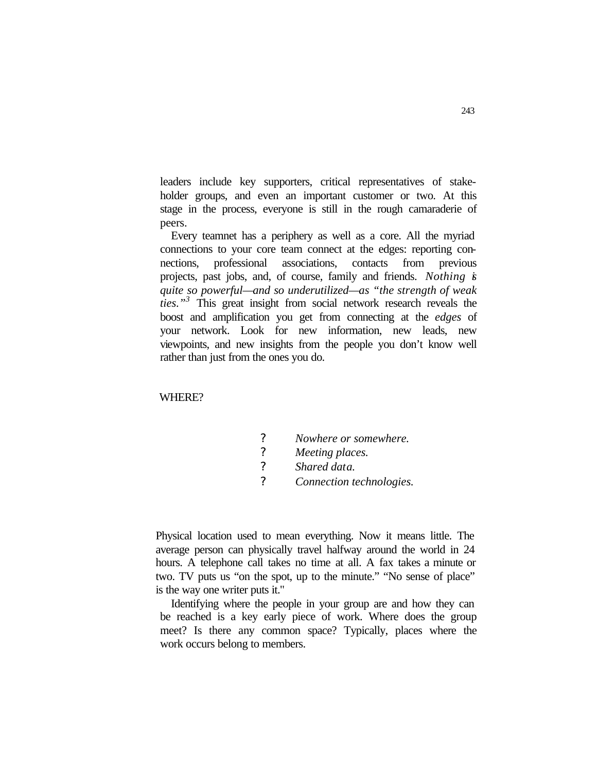leaders include key supporters, critical representatives of stakeholder groups, and even an important customer or two. At this stage in the process, everyone is still in the rough camaraderie of peers.

Every teamnet has a periphery as well as a core. All the myriad connections to your core team connect at the edges: reporting connections, professional associations, contacts from previous projects, past jobs, and, of course, family and friends. *Nothing is quite so powerful—and so underutilized—as "the strength of weak ties."<sup>3</sup>* This great insight from social network research reveals the boost and amplification you get from connecting at the *edges* of your network. Look for new information, new leads, new viewpoints, and new insights from the people you don't know well rather than just from the ones you do.

#### WHERE?

| $\overline{?}$ | Nowhere or somewhere. |
|----------------|-----------------------|
| $\overline{?}$ | Meeting places.       |

- *? Shared data.*
- *? Connection technologies.*

Physical location used to mean everything. Now it means little. The average person can physically travel halfway around the world in 24 hours. A telephone call takes no time at all. A fax takes a minute or two. TV puts us "on the spot, up to the minute." "No sense of place" is the way one writer puts it."

Identifying where the people in your group are and how they can be reached is a key early piece of work. Where does the group meet? Is there any common space? Typically, places where the work occurs belong to members.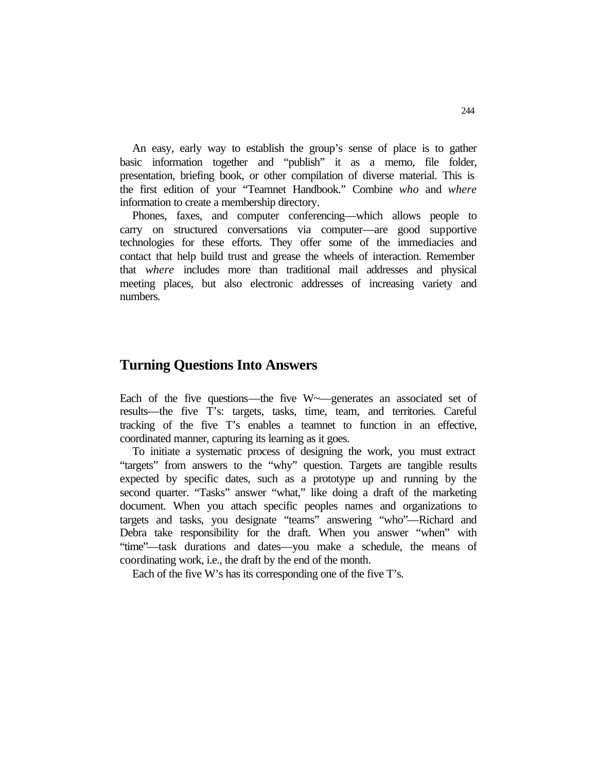An easy, early way to establish the group's sense of place is to gather basic information together and "publish" it as a memo, file folder, presentation, briefing book, or other compilation of diverse material. This is the first edition of your "Teamnet Handbook." Combine *who* and *where*  information to create a membership directory.

Phones, faxes, and computer conferencing—which allows people to carry on structured conversations via computer—are good supportive technologies for these efforts. They offer some of the immediacies and contact that help build trust and grease the wheels of interaction. Remember that *where* includes more than traditional mail addresses and physical meeting places, but also electronic addresses of increasing variety and numbers.

# **Turning Questions Into Answers**

Each of the five questions—the five W—generates an associated set of results—the five T's: targets, tasks, time, team, and territories. Careful tracking of the five T's enables a teamnet to function in an effective, coordinated manner, capturing its learning as it goes.

To initiate a systematic process of designing the work, you must extract "targets" from answers to the "why" question. Targets are tangible results expected by specific dates, such as a prototype up and running by the second quarter. "Tasks" answer "what," like doing a draft of the marketing document. When you attach specific peoples names and organizations to targets and tasks, you designate "teams" answering "who"—Richard and Debra take responsibility for the draft. When you answer "when" with "time"—task durations and dates—you make a schedule, the means of coordinating work, i.e., the draft by the end of the month.

Each of the five W's has its corresponding one of the five T's.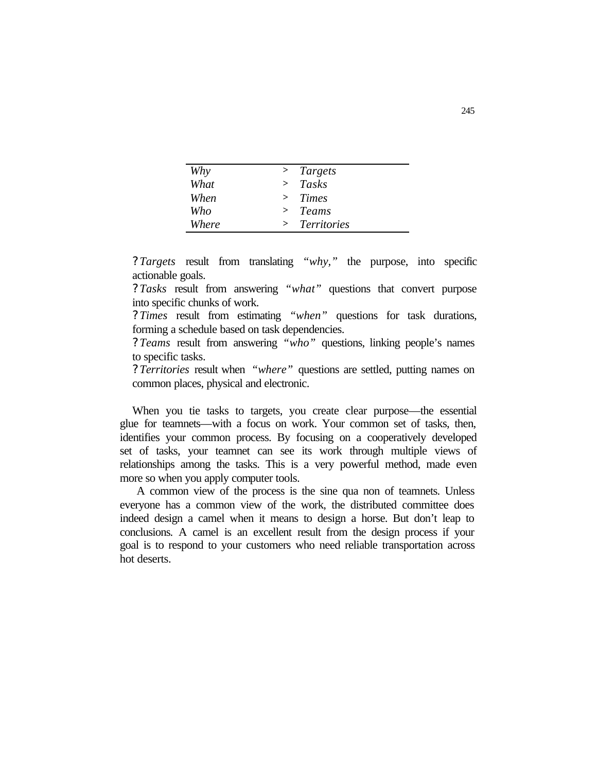| Why   | $>$ Targets   |
|-------|---------------|
| What  | $>$ Tasks     |
| When  | $>$ Times     |
| Who   | $>$ Teams     |
| Where | > Territories |

*? Targets* result from translating *"why,"* the purpose, into specific actionable goals.

*? Tasks* result from answering *"what"* questions that convert purpose into specific chunks of work.

*? Times* result from estimating *"when"* questions for task durations, forming a schedule based on task dependencies.

*? Teams* result from answering *"who"* questions, linking people's names to specific tasks.

*? Territories* result when *"where"* questions are settled, putting names on common places, physical and electronic.

When you tie tasks to targets, you create clear purpose—the essential glue for teamnets—with a focus on work. Your common set of tasks, then, identifies your common process. By focusing on a cooperatively developed set of tasks, your teamnet can see its work through multiple views of relationships among the tasks. This is a very powerful method, made even more so when you apply computer tools.

A common view of the process is the sine qua non of teamnets. Unless everyone has a common view of the work, the distributed committee does indeed design a camel when it means to design a horse. But don't leap to conclusions. A camel is an excellent result from the design process if your goal is to respond to your customers who need reliable transportation across hot deserts.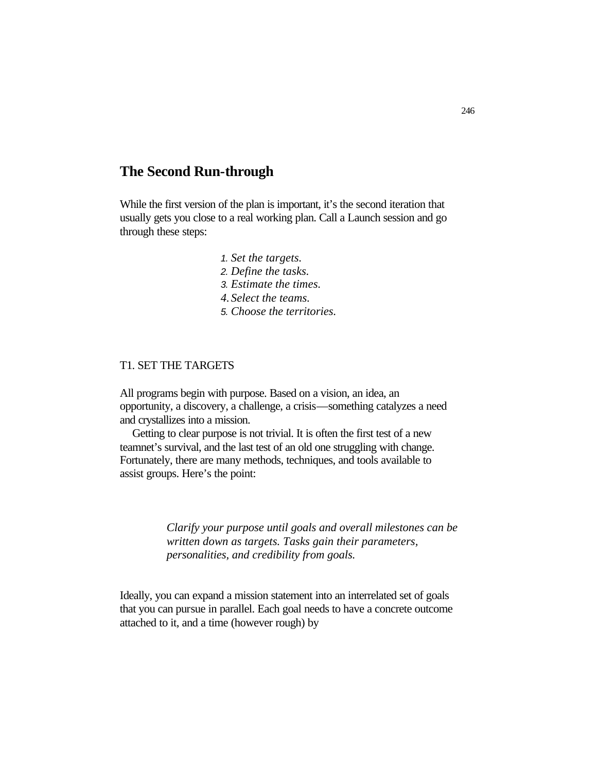# **The Second Run-through**

While the first version of the plan is important, it's the second iteration that usually gets you close to a real working plan. Call a Launch session and go through these steps:

> *1. Set the targets. 2. Define the tasks. 3. Estimate the times. 4.Select the teams. 5. Choose the territories.*

# T1. SET THE TARGETS

All programs begin with purpose. Based on a vision, an idea, an opportunity, a discovery, a challenge, a crisis—something catalyzes a need and crystallizes into a mission.

Getting to clear purpose is not trivial. It is often the first test of a new teamnet's survival, and the last test of an old one struggling with change. Fortunately, there are many methods, techniques, and tools available to assist groups. Here's the point:

> *Clarify your purpose until goals and overall milestones can be written down as targets. Tasks gain their parameters, personalities, and credibility from goals.*

Ideally, you can expand a mission statement into an interrelated set of goals that you can pursue in parallel. Each goal needs to have a concrete outcome attached to it, and a time (however rough) by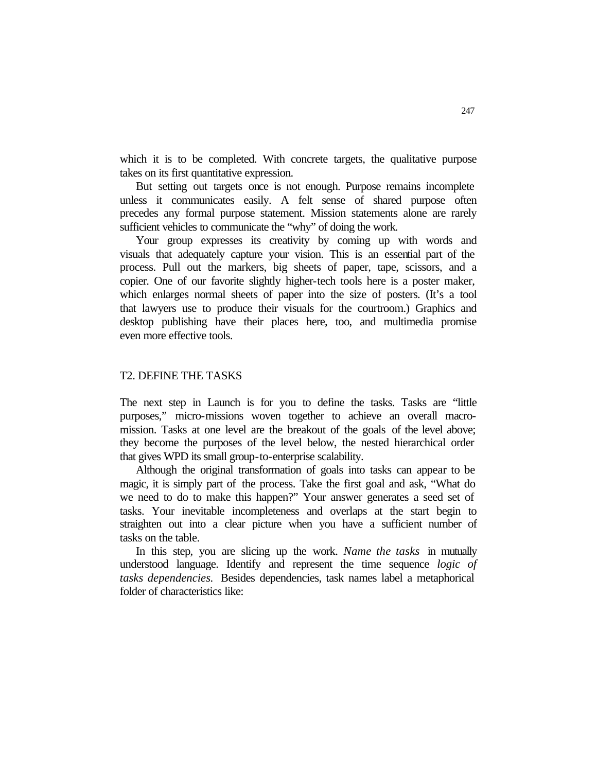which it is to be completed. With concrete targets, the qualitative purpose takes on its first quantitative expression.

But setting out targets once is not enough. Purpose remains incomplete unless it communicates easily. A felt sense of shared purpose often precedes any formal purpose statement. Mission statements alone are rarely sufficient vehicles to communicate the "why" of doing the work.

Your group expresses its creativity by coming up with words and visuals that adequately capture your vision. This is an essential part of the process. Pull out the markers, big sheets of paper, tape, scissors, and a copier. One of our favorite slightly higher-tech tools here is a poster maker, which enlarges normal sheets of paper into the size of posters. (It's a tool that lawyers use to produce their visuals for the courtroom.) Graphics and desktop publishing have their places here, too, and multimedia promise even more effective tools.

## T2. DEFINE THE TASKS

The next step in Launch is for you to define the tasks. Tasks are "little purposes," micro-missions woven together to achieve an overall macromission. Tasks at one level are the breakout of the goals of the level above; they become the purposes of the level below, the nested hierarchical order that gives WPD its small group-to-enterprise scalability.

Although the original transformation of goals into tasks can appear to be magic, it is simply part of the process. Take the first goal and ask, "What do we need to do to make this happen?" Your answer generates a seed set of tasks. Your inevitable incompleteness and overlaps at the start begin to straighten out into a clear picture when you have a sufficient number of tasks on the table.

In this step, you are slicing up the work. *Name the tasks* in mutually understood language. Identify and represent the time sequence *logic of tasks dependencies.* Besides dependencies, task names label a metaphorical folder of characteristics like: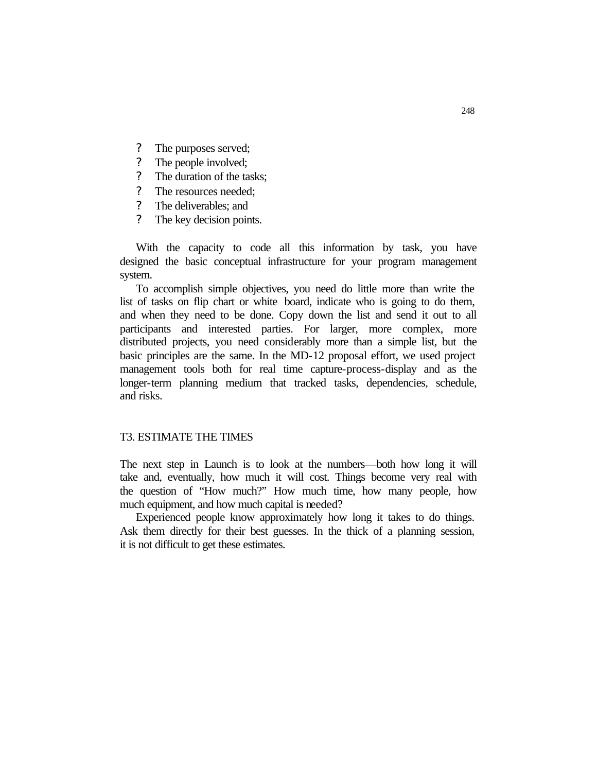- ? The purposes served;
- ? The people involved;
- ? The duration of the tasks;
- ? The resources needed;
- ? The deliverables; and
- ? The key decision points.

With the capacity to code all this information by task, you have designed the basic conceptual infrastructure for your program management system.

To accomplish simple objectives, you need do little more than write the list of tasks on flip chart or white board, indicate who is going to do them, and when they need to be done. Copy down the list and send it out to all participants and interested parties. For larger, more complex, more distributed projects, you need considerably more than a simple list, but the basic principles are the same. In the MD-12 proposal effort, we used project management tools both for real time capture-process-display and as the longer-term planning medium that tracked tasks, dependencies, schedule, and risks.

## T3. ESTIMATE THE TIMES

The next step in Launch is to look at the numbers—both how long it will take and, eventually, how much it will cost. Things become very real with the question of "How much?" How much time, how many people, how much equipment, and how much capital is needed?

Experienced people know approximately how long it takes to do things. Ask them directly for their best guesses. In the thick of a planning session, it is not difficult to get these estimates.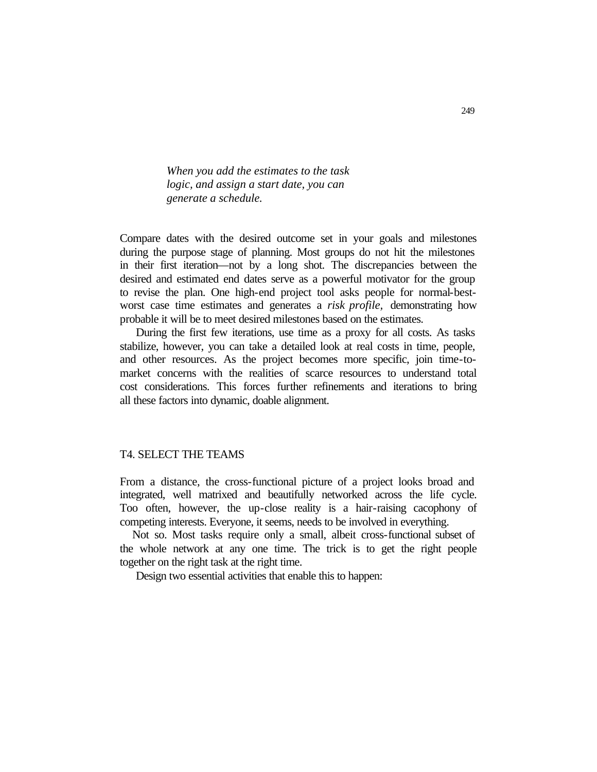*When you add the estimates to the task logic, and assign a start date, you can generate a schedule.*

Compare dates with the desired outcome set in your goals and milestones during the purpose stage of planning. Most groups do not hit the milestones in their first iteration—not by a long shot. The discrepancies between the desired and estimated end dates serve as a powerful motivator for the group to revise the plan. One high-end project tool asks people for normal-bestworst case time estimates and generates a *risk profile,* demonstrating how probable it will be to meet desired milestones based on the estimates.

During the first few iterations, use time as a proxy for all costs. As tasks stabilize, however, you can take a detailed look at real costs in time, people, and other resources. As the project becomes more specific, join time-tomarket concerns with the realities of scarce resources to understand total cost considerations. This forces further refinements and iterations to bring all these factors into dynamic, doable alignment.

#### T4. SELECT THE TEAMS

From a distance, the cross-functional picture of a project looks broad and integrated, well matrixed and beautifully networked across the life cycle. Too often, however, the up-close reality is a hair-raising cacophony of competing interests. Everyone, it seems, needs to be involved in everything.

Not so. Most tasks require only a small, albeit cross-functional subset of the whole network at any one time. The trick is to get the right people together on the right task at the right time.

Design two essential activities that enable this to happen: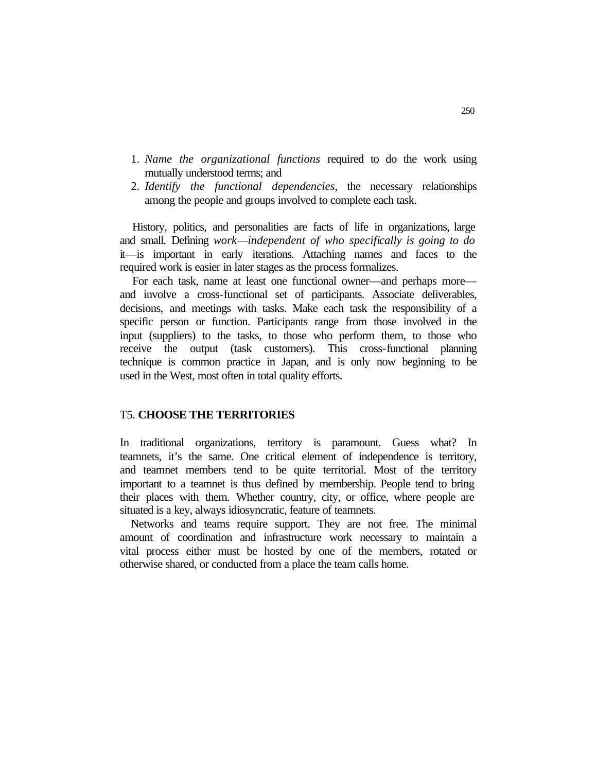- 1. *Name the organizational functions* required to do the work using mutually understood terms; and
- 2. *Identify the functional dependencies,* the necessary relationships among the people and groups involved to complete each task.

History, politics, and personalities are facts of life in organizations, large and small. Defining *work—independent of who specifically is going to do*  it—is important in early iterations. Attaching names and faces to the required work is easier in later stages as the process formalizes.

For each task, name at least one functional owner—and perhaps more and involve a cross-functional set of participants. Associate deliverables, decisions, and meetings with tasks. Make each task the responsibility of a specific person or function. Participants range from those involved in the input (suppliers) to the tasks, to those who perform them, to those who receive the output (task customers). This cross-functional planning technique is common practice in Japan, and is only now beginning to be used in the West, most often in total quality efforts.

#### T5. **CHOOSE THE TERRITORIES**

In traditional organizations, territory is paramount. Guess what? In teamnets, it's the same. One critical element of independence is territory, and teamnet members tend to be quite territorial. Most of the territory important to a teamnet is thus defined by membership. People tend to bring their places with them. Whether country, city, or office, where people are situated is a key, always idiosyncratic, feature of teamnets.

Networks and teams require support. They are not free. The minimal amount of coordination and infrastructure work necessary to maintain a vital process either must be hosted by one of the members, rotated or otherwise shared, or conducted from a place the team calls home.